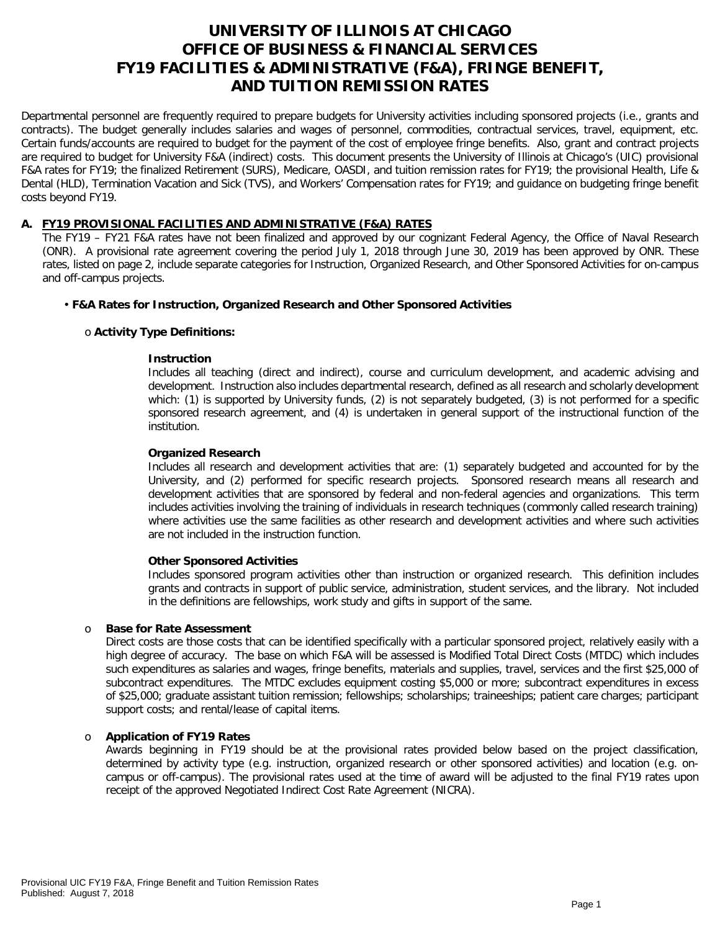# **UNIVERSITY OF ILLINOIS AT CHICAGO OFFICE OF BUSINESS & FINANCIAL SERVICES FY19 FACILITIES & ADMINISTRATIVE (F&A), FRINGE BENEFIT, AND TUITION REMISSION RATES**

Departmental personnel are frequently required to prepare budgets for University activities including sponsored projects (i.e., grants and contracts). The budget generally includes salaries and wages of personnel, commodities, contractual services, travel, equipment, etc. Certain funds/accounts are required to budget for the payment of the cost of employee fringe benefits. Also, grant and contract projects are required to budget for University F&A (indirect) costs. This document presents the University of Illinois at Chicago's (UIC) provisional F&A rates for FY19; the finalized Retirement (SURS), Medicare, OASDI, and tuition remission rates for FY19; the provisional Health, Life & Dental (HLD), Termination Vacation and Sick (TVS), and Workers' Compensation rates for FY19; and guidance on budgeting fringe benefit costs beyond FY19.

# **A. FY19 PROVISIONAL FACILITIES AND ADMINISTRATIVE (F&A) RATES**

The FY19 – FY21 F&A rates have not been finalized and approved by our cognizant Federal Agency, the Office of Naval Research (ONR). A provisional rate agreement covering the period July 1, 2018 through June 30, 2019 has been approved by ONR. These rates, listed on page 2, include separate categories for Instruction, Organized Research, and Other Sponsored Activities for on-campus and off-campus projects.

# • **F&A Rates for Instruction, Organized Research and Other Sponsored Activities**

# o **Activity Type Definitions:**

# **Instruction**

Includes all teaching (direct and indirect), course and curriculum development, and academic advising and development. Instruction also includes departmental research, defined as all research and scholarly development which: (1) is supported by University funds, (2) is not separately budgeted, (3) is not performed for a specific sponsored research agreement, and (4) is undertaken in general support of the instructional function of the institution.

# **Organized Research**

Includes all research and development activities that are: (1) separately budgeted and accounted for by the University, and (2) performed for specific research projects. Sponsored research means all research and development activities that are sponsored by federal and non-federal agencies and organizations. This term includes activities involving the training of individuals in research techniques (commonly called research training) where activities use the same facilities as other research and development activities and where such activities are not included in the instruction function.

# **Other Sponsored Activities**

Includes sponsored program activities other than instruction or organized research. This definition includes grants and contracts in support of public service, administration, student services, and the library. Not included in the definitions are fellowships, work study and gifts in support of the same.

# o **Base for Rate Assessment**

Direct costs are those costs that can be identified specifically with a particular sponsored project, relatively easily with a high degree of accuracy. The base on which F&A will be assessed is Modified Total Direct Costs (MTDC) which includes such expenditures as salaries and wages, fringe benefits, materials and supplies, travel, services and the first \$25,000 of subcontract expenditures. The MTDC excludes equipment costing \$5,000 or more; subcontract expenditures in excess of \$25,000; graduate assistant tuition remission; fellowships; scholarships; traineeships; patient care charges; participant support costs; and rental/lease of capital items.

# o **Application of FY19 Rates**

Awards beginning in FY19 should be at the provisional rates provided below based on the project classification, determined by activity type (e.g. instruction, organized research or other sponsored activities) and location (e.g. oncampus or off-campus). The provisional rates used at the time of award will be adjusted to the final FY19 rates upon receipt of the approved Negotiated Indirect Cost Rate Agreement (NICRA).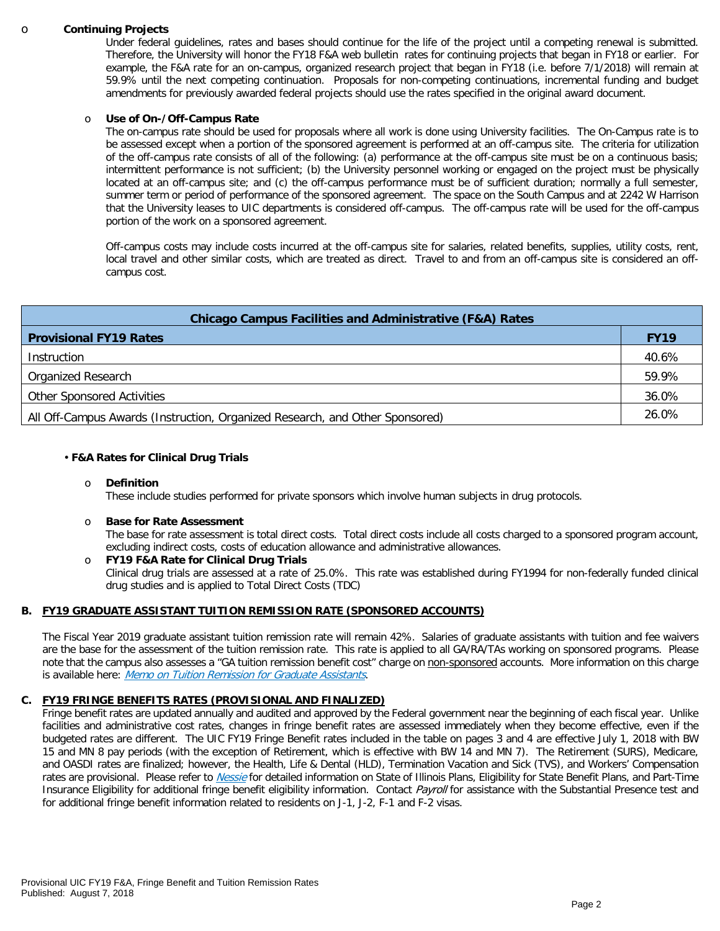#### o **Continuing Projects**

Under federal guidelines, rates and bases should continue for the life of the project until a competing renewal is submitted. Therefore, the University will honor the [FY18 F&A web bulletin](https://www.obfs.uillinois.edu/common/pages/DisplayFile.aspx?itemId=784234) rates for continuing projects that began in FY18 or earlier. For example, the F&A rate for an on-campus, organized research project that began in FY18 (i.e. before 7/1/2018) will remain at 59.9% until the next competing continuation. Proposals for non-competing continuations, incremental funding and budget amendments for previously awarded federal projects should use the rates specified in the original award document.

#### o **Use of On-/Off-Campus Rate**

The on-campus rate should be used for proposals where all work is done using University facilities. The On-Campus rate is to be assessed except when a portion of the sponsored agreement is performed at an off-campus site. The criteria for utilization of the off-campus rate consists of all of the following: (a) performance at the off-campus site must be on a continuous basis; intermittent performance is not sufficient; (b) the University personnel working or engaged on the project must be physically located at an off-campus site; and (c) the off-campus performance must be of sufficient duration; normally a full semester, summer term or period of performance of the sponsored agreement. The space on the South Campus and at 2242 W Harrison that the University leases to UIC departments is considered off-campus. The off-campus rate will be used for the off-campus portion of the work on a sponsored agreement.

Off-campus costs may include costs incurred at the off-campus site for salaries, related benefits, supplies, utility costs, rent, local travel and other similar costs, which are treated as direct. Travel to and from an off-campus site is considered an offcampus cost.

| <b>Chicago Campus Facilities and Administrative (F&amp;A) Rates</b>          |             |  |  |  |  |
|------------------------------------------------------------------------------|-------------|--|--|--|--|
| <b>Provisional FY19 Rates</b>                                                | <b>FY19</b> |  |  |  |  |
| Instruction                                                                  | 40.6%       |  |  |  |  |
| Organized Research                                                           | 59.9%       |  |  |  |  |
| <b>Other Sponsored Activities</b>                                            | 36.0%       |  |  |  |  |
| All Off-Campus Awards (Instruction, Organized Research, and Other Sponsored) | 26.0%       |  |  |  |  |

#### • **F&A Rates for Clinical Drug Trials**

#### o **Definition**

These include studies performed for private sponsors which involve human subjects in drug protocols.

#### o **Base for Rate Assessment**

The base for rate assessment is total direct costs. Total direct costs include all costs charged to a sponsored program account, excluding indirect costs, costs of education allowance and administrative allowances.

o **FY19 F&A Rate for Clinical Drug Trials** Clinical drug trials are assessed at a rate of 25.0%. This rate was established during FY1994 for non-federally funded clinical drug studies and is applied to Total Direct Costs (TDC)

# **B. FY19 GRADUATE ASSISTANT TUITION REMISSION RATE (SPONSORED ACCOUNTS)**

The Fiscal Year 2019 graduate assistant tuition remission rate will remain 42%. Salaries of graduate assistants with tuition and fee waivers are the base for the assessment of the tuition remission rate. This rate is applied to all GA/RA/TAs working on sponsored programs. Please note that the campus also assesses a "GA tuition remission benefit cost" charge on non-sponsored accounts. More information on this charge is available here: [Memo on Tuition Remission for Graduate Assistants](https://www.obfs.uillinois.edu/common/pages/DisplayFile.aspx?itemId=436386).

# **C. FY19 FRINGE BENEFITS RATES (PROVISIONAL AND FINALIZED)**

Fringe benefit rates are updated annually and audited and approved by the Federal government near the beginning of each fiscal year. Unlike facilities and administrative cost rates, changes in fringe benefit rates are assessed immediately when they become effective, even if the budgeted rates are different. The UIC FY19 Fringe Benefit rates included in the table on pages 3 and 4 are effective July 1, 2018 with BW 15 and MN 8 pay periods (with the exception of Retirement, which is effective with BW 14 and MN 7). The Retirement (SURS), Medicare, and OASDI rates are finalized; however, the Health, Life & Dental (HLD), Termination Vacation and Sick (TVS), and Workers' Compensation rates are provisional. Please refer to [Nessie](https://www.hr.uillinois.edu/benefits/) for detailed information on State of Illinois Plans, Eligibility for State Benefit Plans, and Part-Time Insurance Eligibility for additional fringe benefit eligibility information. Contact [Payroll](https://www.obfs.uillinois.edu/payroll/customer-service/) for assistance with the Substantial Presence test and for additional fringe benefit information related to residents on J-1, J-2, F-1 and F-2 visas.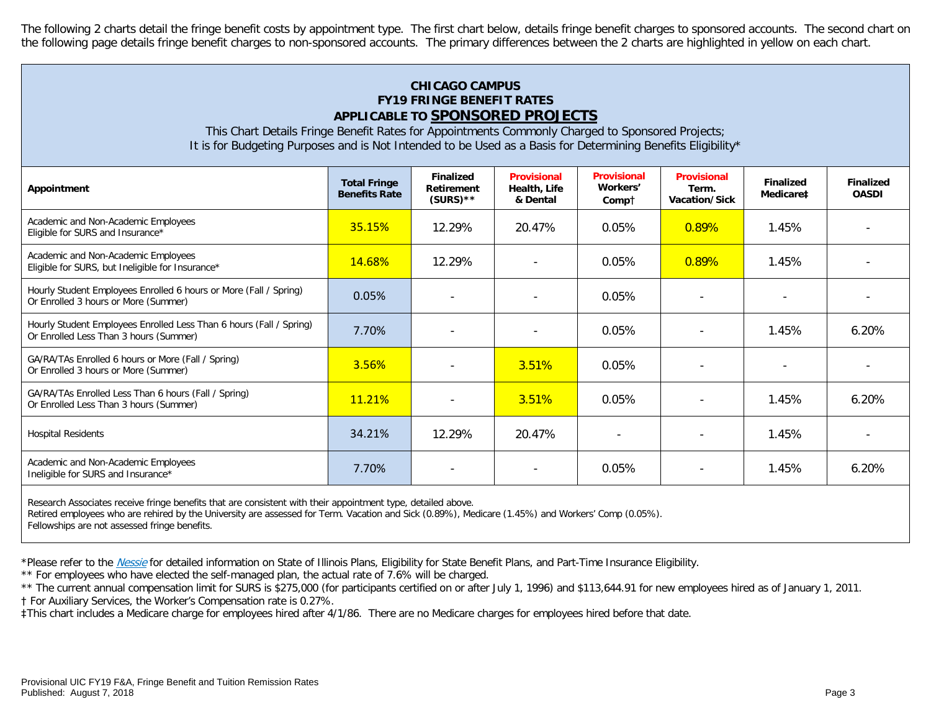The following 2 charts detail the fringe benefit costs by appointment type. The first chart below, details fringe benefit charges to sponsored accounts. The second chart on the following page details fringe benefit charges to non-sponsored accounts. The primary differences between the 2 charts are highlighted in yellow on each chart.

# **CHICAGO CAMPUS FY19 FRINGE BENEFIT RATES APPLICABLE TO SPONSORED PROJECTS**

This Chart Details Fringe Benefit Rates for Appointments Commonly Charged to Sponsored Projects; It is for Budgeting Purposes and is Not Intended to be Used as a Basis for Determining Benefits Eligibility\*

| <b>Total Fringe</b><br><b>Benefits Rate</b> | <b>Finalized</b><br><b>Retirement</b><br>$(SURS)$ ** | <b>Provisional</b><br>Health, Life<br>& Dental | <b>Provisional</b><br>Workers'<br>Compt | <b>Provisional</b><br>Term.<br>Vacation/Sick | <b>Finalized</b><br>Medicare‡ | <b>Finalized</b><br><b>OASDI</b> |
|---------------------------------------------|------------------------------------------------------|------------------------------------------------|-----------------------------------------|----------------------------------------------|-------------------------------|----------------------------------|
| 35.15%                                      | 12.29%                                               | 20.47%                                         | 0.05%                                   | 0.89%                                        | 1.45%                         |                                  |
| <b>14.68%</b>                               | 12.29%                                               |                                                | 0.05%                                   | 0.89%                                        | 1.45%                         |                                  |
| 0.05%                                       |                                                      |                                                | 0.05%                                   |                                              |                               |                                  |
| 7.70%                                       |                                                      |                                                | 0.05%                                   |                                              | 1.45%                         | 6.20%                            |
| 3.56%                                       |                                                      | 3.51%                                          | 0.05%                                   |                                              |                               |                                  |
| 11.21%                                      | $\overline{\phantom{a}}$                             | 3.51%                                          | 0.05%                                   |                                              | 1.45%                         | 6.20%                            |
| 34.21%                                      | 12.29%                                               | 20.47%                                         | $\overline{\phantom{0}}$                |                                              | 1.45%                         |                                  |
| 7.70%                                       |                                                      | $\overline{\phantom{a}}$                       | 0.05%                                   |                                              | 1.45%                         | 6.20%                            |
|                                             |                                                      |                                                |                                         |                                              |                               |                                  |

Research Associates receive fringe benefits that are consistent with their appointment type, detailed above.

Retired employees who are rehired by the University are assessed for Term. Vacation and Sick (0.89%), Medicare (1.45%) and Workers' Comp (0.05%).

Fellowships are not assessed fringe benefits.

\*Please refer to the [Nessie](https://www.hr.uillinois.edu/benefits/) for detailed information on State of Illinois Plans, Eligibility for State Benefit Plans, and Part-Time Insurance Eligibility.

\*\* For employees who have elected the self-managed plan, the actual rate of 7.6% will be charged.

\*\* The current annual compensation limit for SURS is \$275,000 (for participants certified on or after July 1, 1996) and \$113,644.91 for new employees hired as of January 1, 2011. † For Auxiliary Services, the Worker's Compensation rate is 0.27%.

‡This chart includes a Medicare charge for employees hired after 4/1/86. There are no Medicare charges for employees hired before that date.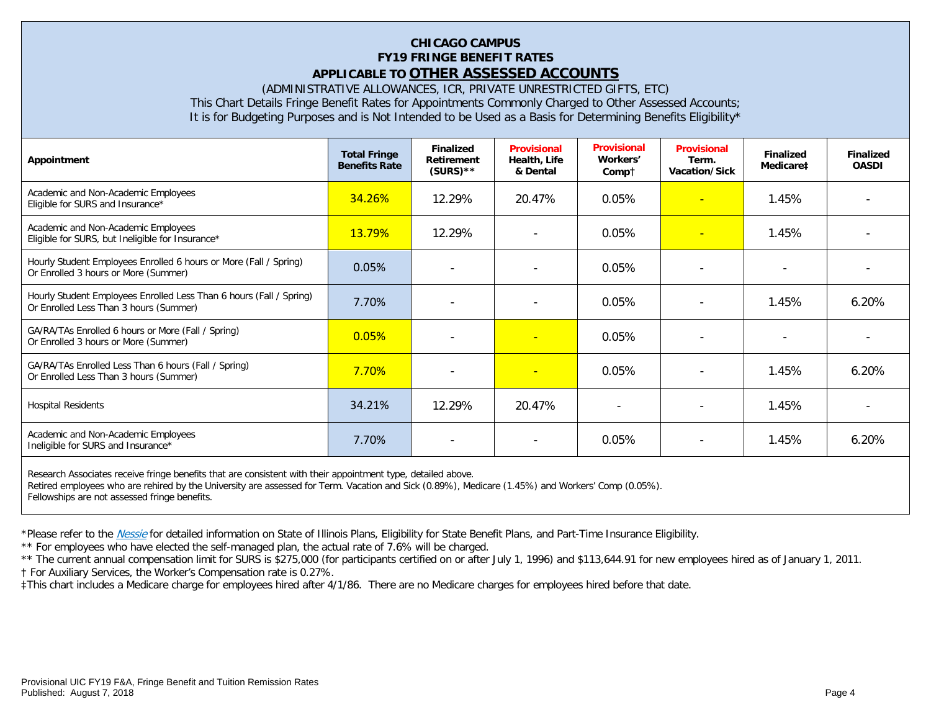# **CHICAGO CAMPUS FY19 FRINGE BENEFIT RATES APPLICABLE TO OTHER ASSESSED ACCOUNTS**

(ADMINISTRATIVE ALLOWANCES, ICR, PRIVATE UNRESTRICTED GIFTS, ETC)

This Chart Details Fringe Benefit Rates for Appointments Commonly Charged to Other Assessed Accounts;

It is for Budgeting Purposes and is Not Intended to be Used as a Basis for Determining Benefits Eligibility\*

| Appointment                                                                                                   | <b>Total Fringe</b><br><b>Benefits Rate</b> | <b>Finalized</b><br>Retirement<br>$(SURS)$ ** | <b>Provisional</b><br>Health, Life<br>& Dental | <b>Provisional</b><br>Workers'<br>Compt | <b>Provisional</b><br>Term.<br>Vacation/Sick | <b>Finalized</b><br>Medicare‡ | <b>Finalized</b><br><b>OASDI</b> |
|---------------------------------------------------------------------------------------------------------------|---------------------------------------------|-----------------------------------------------|------------------------------------------------|-----------------------------------------|----------------------------------------------|-------------------------------|----------------------------------|
| Academic and Non-Academic Employees<br>Eligible for SURS and Insurance*                                       | <b>34.26%</b>                               | 12.29%                                        | 20.47%                                         | 0.05%                                   | $\overline{\phantom{a}}$                     | 1.45%                         |                                  |
| Academic and Non-Academic Employees<br>Eligible for SURS, but Ineligible for Insurance*                       | <b>13.79%</b>                               | 12.29%                                        | $\overline{\phantom{a}}$                       | 0.05%                                   | $\blacksquare$                               | 1.45%                         |                                  |
| Hourly Student Employees Enrolled 6 hours or More (Fall / Spring)<br>Or Enrolled 3 hours or More (Summer)     | 0.05%                                       |                                               |                                                | 0.05%                                   |                                              |                               |                                  |
| Hourly Student Employees Enrolled Less Than 6 hours (Fall / Spring)<br>Or Enrolled Less Than 3 hours (Summer) | 7.70%                                       |                                               |                                                | 0.05%                                   |                                              | 1.45%                         | 6.20%                            |
| GA/RA/TAs Enrolled 6 hours or More (Fall / Spring)<br>Or Enrolled 3 hours or More (Summer)                    | 0.05%                                       |                                               | ٠                                              | 0.05%                                   |                                              |                               |                                  |
| GA/RA/TAs Enrolled Less Than 6 hours (Fall / Spring)<br>Or Enrolled Less Than 3 hours (Summer)                | 7.70%                                       |                                               | ÷                                              | 0.05%                                   |                                              | 1.45%                         | 6.20%                            |
| <b>Hospital Residents</b>                                                                                     | 34.21%                                      | 12.29%                                        | 20.47%                                         | $\blacksquare$                          | $\overline{\phantom{a}}$                     | 1.45%                         |                                  |
| Academic and Non-Academic Employees<br>Ineligible for SURS and Insurance*                                     | 7.70%                                       | $\overline{\phantom{a}}$                      | $\overline{a}$                                 | 0.05%                                   | $\overline{\phantom{a}}$                     | 1.45%                         | 6.20%                            |
| Decearch Accoriates resolve fringe benefits that are consistent with their ennointment type, detailed above   |                                             |                                               |                                                |                                         |                                              |                               |                                  |

Research Associates receive fringe benefits that are consistent with their appointment type, detailed above. Retired employees who are rehired by the University are assessed for Term. Vacation and Sick (0.89%), Medicare (1.45%) and Workers' Comp (0.05%). Fellowships are not assessed fringe benefits.

\*Please refer to the *[Nessie](https://www.hr.uillinois.edu/benefits/)* for detailed information on State of Illinois Plans, Eligibility for State Benefit Plans, and Part-Time Insurance Eligibility.

\*\* For employees who have elected the self-managed plan, the actual rate of 7.6% will be charged.

\*\* The current annual compensation limit for SURS is \$275,000 (for participants certified on or after July 1, 1996) and \$113,644.91 for new employees hired as of January 1, 2011.

† For Auxiliary Services, the Worker's Compensation rate is 0.27%.

‡This chart includes a Medicare charge for employees hired after 4/1/86. There are no Medicare charges for employees hired before that date.